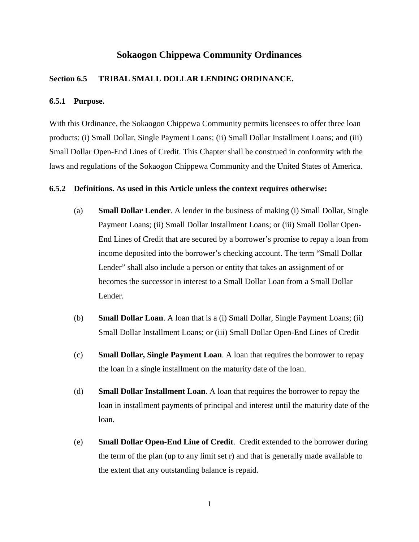# **Sokaogon Chippewa Community Ordinances**

# **Section 6.5 TRIBAL SMALL DOLLAR LENDING ORDINANCE.**

# **6.5.1 Purpose.**

With this Ordinance, the Sokaogon Chippewa Community permits licensees to offer three loan products: (i) Small Dollar, Single Payment Loans; (ii) Small Dollar Installment Loans; and (iii) Small Dollar Open-End Lines of Credit. This Chapter shall be construed in conformity with the laws and regulations of the Sokaogon Chippewa Community and the United States of America.

#### **6.5.2 Definitions. As used in this Article unless the context requires otherwise:**

- (a) **Small Dollar Lender**. A lender in the business of making (i) Small Dollar, Single Payment Loans; (ii) Small Dollar Installment Loans; or (iii) Small Dollar Open-End Lines of Credit that are secured by a borrower's promise to repay a loan from income deposited into the borrower's checking account. The term "Small Dollar Lender" shall also include a person or entity that takes an assignment of or becomes the successor in interest to a Small Dollar Loan from a Small Dollar Lender.
- (b) **Small Dollar Loan**. A loan that is a (i) Small Dollar, Single Payment Loans; (ii) Small Dollar Installment Loans; or (iii) Small Dollar Open-End Lines of Credit
- (c) **Small Dollar, Single Payment Loan**. A loan that requires the borrower to repay the loan in a single installment on the maturity date of the loan.
- (d) **Small Dollar Installment Loan**. A loan that requires the borrower to repay the loan in installment payments of principal and interest until the maturity date of the loan.
- (e) **Small Dollar Open-End Line of Credit**. Credit extended to the borrower during the term of the plan (up to any limit set r) and that is generally made available to the extent that any outstanding balance is repaid.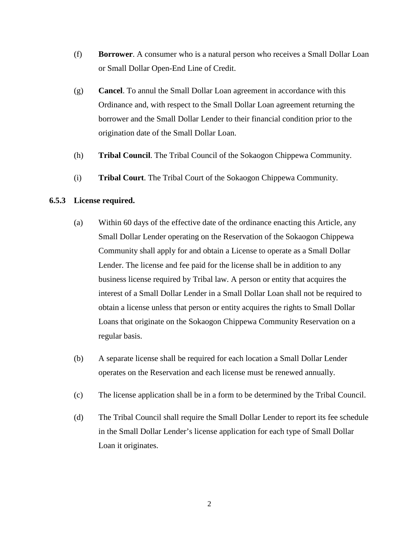- (f) **Borrower**. A consumer who is a natural person who receives a Small Dollar Loan or Small Dollar Open-End Line of Credit.
- (g) **Cancel**. To annul the Small Dollar Loan agreement in accordance with this Ordinance and, with respect to the Small Dollar Loan agreement returning the borrower and the Small Dollar Lender to their financial condition prior to the origination date of the Small Dollar Loan.
- (h) **Tribal Council**. The Tribal Council of the Sokaogon Chippewa Community.
- (i) **Tribal Court**. The Tribal Court of the Sokaogon Chippewa Community.

# **6.5.3 License required.**

- (a) Within 60 days of the effective date of the ordinance enacting this Article, any Small Dollar Lender operating on the Reservation of the Sokaogon Chippewa Community shall apply for and obtain a License to operate as a Small Dollar Lender. The license and fee paid for the license shall be in addition to any business license required by Tribal law. A person or entity that acquires the interest of a Small Dollar Lender in a Small Dollar Loan shall not be required to obtain a license unless that person or entity acquires the rights to Small Dollar Loans that originate on the Sokaogon Chippewa Community Reservation on a regular basis.
- (b) A separate license shall be required for each location a Small Dollar Lender operates on the Reservation and each license must be renewed annually.
- (c) The license application shall be in a form to be determined by the Tribal Council.
- (d) The Tribal Council shall require the Small Dollar Lender to report its fee schedule in the Small Dollar Lender's license application for each type of Small Dollar Loan it originates.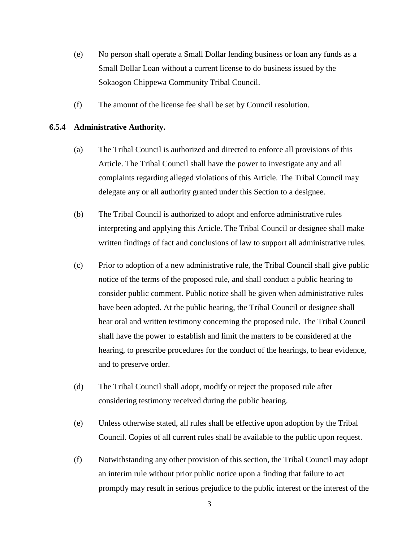- (e) No person shall operate a Small Dollar lending business or loan any funds as a Small Dollar Loan without a current license to do business issued by the Sokaogon Chippewa Community Tribal Council.
- (f) The amount of the license fee shall be set by Council resolution.

# **6.5.4 Administrative Authority.**

- (a) The Tribal Council is authorized and directed to enforce all provisions of this Article. The Tribal Council shall have the power to investigate any and all complaints regarding alleged violations of this Article. The Tribal Council may delegate any or all authority granted under this Section to a designee.
- (b) The Tribal Council is authorized to adopt and enforce administrative rules interpreting and applying this Article. The Tribal Council or designee shall make written findings of fact and conclusions of law to support all administrative rules.
- (c) Prior to adoption of a new administrative rule, the Tribal Council shall give public notice of the terms of the proposed rule, and shall conduct a public hearing to consider public comment. Public notice shall be given when administrative rules have been adopted. At the public hearing, the Tribal Council or designee shall hear oral and written testimony concerning the proposed rule. The Tribal Council shall have the power to establish and limit the matters to be considered at the hearing, to prescribe procedures for the conduct of the hearings, to hear evidence, and to preserve order.
- (d) The Tribal Council shall adopt, modify or reject the proposed rule after considering testimony received during the public hearing.
- (e) Unless otherwise stated, all rules shall be effective upon adoption by the Tribal Council. Copies of all current rules shall be available to the public upon request.
- (f) Notwithstanding any other provision of this section, the Tribal Council may adopt an interim rule without prior public notice upon a finding that failure to act promptly may result in serious prejudice to the public interest or the interest of the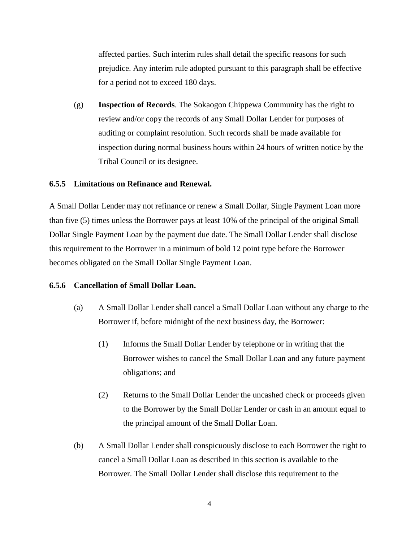affected parties. Such interim rules shall detail the specific reasons for such prejudice. Any interim rule adopted pursuant to this paragraph shall be effective for a period not to exceed 180 days.

(g) **Inspection of Records**. The Sokaogon Chippewa Community has the right to review and/or copy the records of any Small Dollar Lender for purposes of auditing or complaint resolution. Such records shall be made available for inspection during normal business hours within 24 hours of written notice by the Tribal Council or its designee.

## **6.5.5 Limitations on Refinance and Renewal.**

A Small Dollar Lender may not refinance or renew a Small Dollar, Single Payment Loan more than five (5) times unless the Borrower pays at least 10% of the principal of the original Small Dollar Single Payment Loan by the payment due date. The Small Dollar Lender shall disclose this requirement to the Borrower in a minimum of bold 12 point type before the Borrower becomes obligated on the Small Dollar Single Payment Loan.

## **6.5.6 Cancellation of Small Dollar Loan.**

- (a) A Small Dollar Lender shall cancel a Small Dollar Loan without any charge to the Borrower if, before midnight of the next business day, the Borrower:
	- (1) Informs the Small Dollar Lender by telephone or in writing that the Borrower wishes to cancel the Small Dollar Loan and any future payment obligations; and
	- (2) Returns to the Small Dollar Lender the uncashed check or proceeds given to the Borrower by the Small Dollar Lender or cash in an amount equal to the principal amount of the Small Dollar Loan.
- (b) A Small Dollar Lender shall conspicuously disclose to each Borrower the right to cancel a Small Dollar Loan as described in this section is available to the Borrower. The Small Dollar Lender shall disclose this requirement to the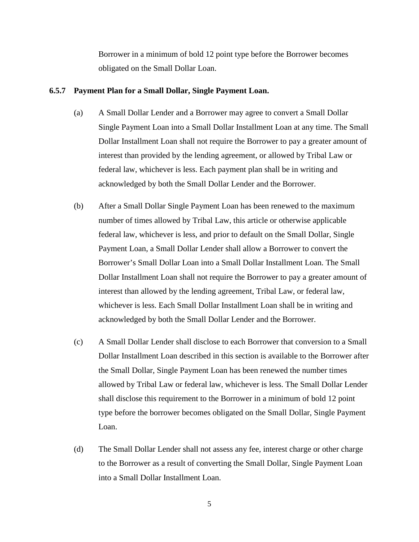Borrower in a minimum of bold 12 point type before the Borrower becomes obligated on the Small Dollar Loan.

#### **6.5.7 Payment Plan for a Small Dollar, Single Payment Loan.**

- (a) A Small Dollar Lender and a Borrower may agree to convert a Small Dollar Single Payment Loan into a Small Dollar Installment Loan at any time. The Small Dollar Installment Loan shall not require the Borrower to pay a greater amount of interest than provided by the lending agreement, or allowed by Tribal Law or federal law, whichever is less. Each payment plan shall be in writing and acknowledged by both the Small Dollar Lender and the Borrower.
- (b) After a Small Dollar Single Payment Loan has been renewed to the maximum number of times allowed by Tribal Law, this article or otherwise applicable federal law, whichever is less, and prior to default on the Small Dollar, Single Payment Loan, a Small Dollar Lender shall allow a Borrower to convert the Borrower's Small Dollar Loan into a Small Dollar Installment Loan. The Small Dollar Installment Loan shall not require the Borrower to pay a greater amount of interest than allowed by the lending agreement, Tribal Law, or federal law, whichever is less. Each Small Dollar Installment Loan shall be in writing and acknowledged by both the Small Dollar Lender and the Borrower.
- (c) A Small Dollar Lender shall disclose to each Borrower that conversion to a Small Dollar Installment Loan described in this section is available to the Borrower after the Small Dollar, Single Payment Loan has been renewed the number times allowed by Tribal Law or federal law, whichever is less. The Small Dollar Lender shall disclose this requirement to the Borrower in a minimum of bold 12 point type before the borrower becomes obligated on the Small Dollar, Single Payment Loan.
- (d) The Small Dollar Lender shall not assess any fee, interest charge or other charge to the Borrower as a result of converting the Small Dollar, Single Payment Loan into a Small Dollar Installment Loan.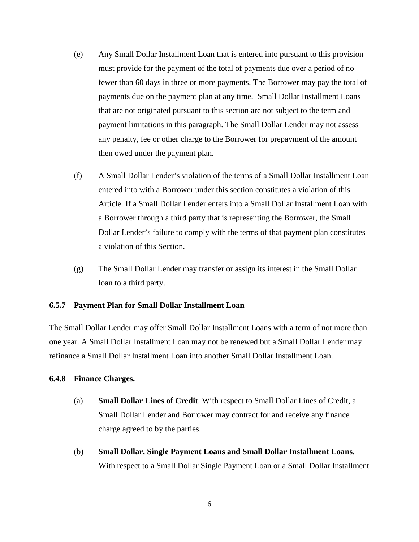- (e) Any Small Dollar Installment Loan that is entered into pursuant to this provision must provide for the payment of the total of payments due over a period of no fewer than 60 days in three or more payments. The Borrower may pay the total of payments due on the payment plan at any time. Small Dollar Installment Loans that are not originated pursuant to this section are not subject to the term and payment limitations in this paragraph. The Small Dollar Lender may not assess any penalty, fee or other charge to the Borrower for prepayment of the amount then owed under the payment plan.
- (f) A Small Dollar Lender's violation of the terms of a Small Dollar Installment Loan entered into with a Borrower under this section constitutes a violation of this Article. If a Small Dollar Lender enters into a Small Dollar Installment Loan with a Borrower through a third party that is representing the Borrower, the Small Dollar Lender's failure to comply with the terms of that payment plan constitutes a violation of this Section.
- (g) The Small Dollar Lender may transfer or assign its interest in the Small Dollar loan to a third party.

## **6.5.7 Payment Plan for Small Dollar Installment Loan**

The Small Dollar Lender may offer Small Dollar Installment Loans with a term of not more than one year. A Small Dollar Installment Loan may not be renewed but a Small Dollar Lender may refinance a Small Dollar Installment Loan into another Small Dollar Installment Loan.

## **6.4.8 Finance Charges.**

- (a) **Small Dollar Lines of Credit**. With respect to Small Dollar Lines of Credit, a Small Dollar Lender and Borrower may contract for and receive any finance charge agreed to by the parties.
- (b) **Small Dollar, Single Payment Loans and Small Dollar Installment Loans**. With respect to a Small Dollar Single Payment Loan or a Small Dollar Installment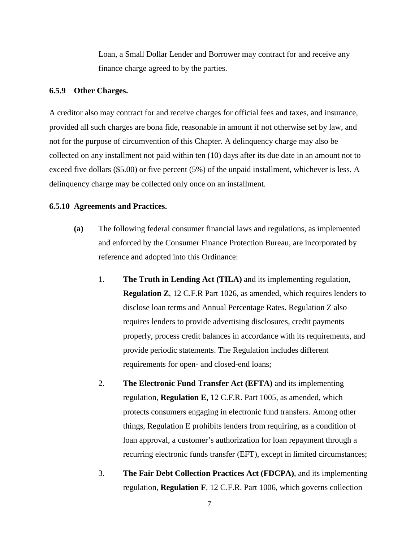Loan, a Small Dollar Lender and Borrower may contract for and receive any finance charge agreed to by the parties.

## **6.5.9 Other Charges.**

A creditor also may contract for and receive charges for official fees and taxes, and insurance, provided all such charges are bona fide, reasonable in amount if not otherwise set by law, and not for the purpose of circumvention of this Chapter. A delinquency charge may also be collected on any installment not paid within ten (10) days after its due date in an amount not to exceed five dollars (\$5.00) or five percent (5%) of the unpaid installment, whichever is less. A delinquency charge may be collected only once on an installment.

#### **6.5.10 Agreements and Practices.**

- **(a)** The following federal consumer financial laws and regulations, as implemented and enforced by the Consumer Finance Protection Bureau, are incorporated by reference and adopted into this Ordinance:
	- 1. **The Truth in Lending Act (TILA)** and its implementing regulation, **Regulation Z**, 12 C.F.R Part 1026, as amended, which requires lenders to disclose loan terms and Annual Percentage Rates. Regulation Z also requires lenders to provide advertising disclosures, credit payments properly, process credit balances in accordance with its requirements, and provide periodic statements. The Regulation includes different requirements for open- and closed-end loans;
	- 2. **The Electronic Fund Transfer Act (EFTA)** and its implementing regulation, **Regulation E**, 12 C.F.R. Part 1005, as amended, which protects consumers engaging in electronic fund transfers. Among other things, Regulation E prohibits lenders from requiring, as a condition of loan approval, a customer's authorization for loan repayment through a recurring electronic funds transfer (EFT), except in limited circumstances;
	- 3. **The Fair Debt Collection Practices Act (FDCPA)**, and its implementing regulation, **Regulation F**, 12 C.F.R. Part 1006, which governs collection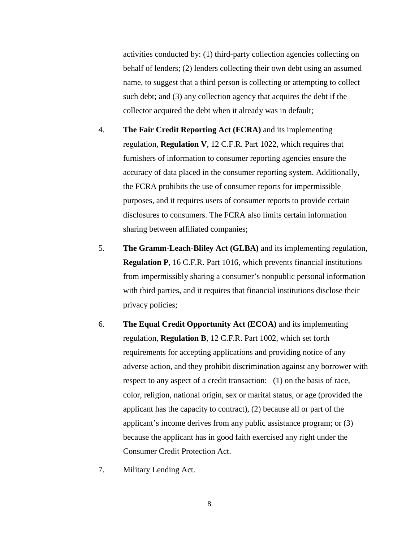activities conducted by: (1) third-party collection agencies collecting on behalf of lenders; (2) lenders collecting their own debt using an assumed name, to suggest that a third person is collecting or attempting to collect such debt; and (3) any collection agency that acquires the debt if the collector acquired the debt when it already was in default;

- 4. **The Fair Credit Reporting Act (FCRA)** and its implementing regulation, **Regulation V**, 12 C.F.R. Part 1022, which requires that furnishers of information to consumer reporting agencies ensure the accuracy of data placed in the consumer reporting system. Additionally, the FCRA prohibits the use of consumer reports for impermissible purposes, and it requires users of consumer reports to provide certain disclosures to consumers. The FCRA also limits certain information sharing between affiliated companies;
- 5. **The Gramm-Leach-Bliley Act (GLBA)** and its implementing regulation, **Regulation P**, 16 C.F.R. Part 1016, which prevents financial institutions from impermissibly sharing a consumer's nonpublic personal information with third parties, and it requires that financial institutions disclose their privacy policies;
- 6. **The Equal Credit Opportunity Act (ECOA)** and its implementing regulation, **Regulation B**, 12 C.F.R. Part 1002, which set forth requirements for accepting applications and providing notice of any adverse action, and they prohibit discrimination against any borrower with respect to any aspect of a credit transaction: (1) on the basis of race, color, religion, national origin, sex or marital status, or age (provided the applicant has the capacity to contract), (2) because all or part of the applicant's income derives from any public assistance program; or (3) because the applicant has in good faith exercised any right under the Consumer Credit Protection Act.
- 7. Military Lending Act.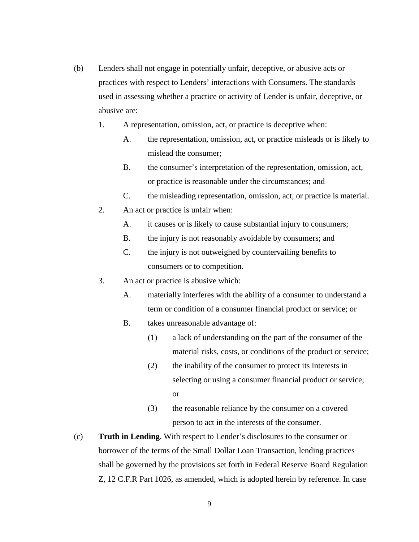- (b) Lenders shall not engage in potentially unfair, deceptive, or abusive acts or practices with respect to Lenders' interactions with Consumers. The standards used in assessing whether a practice or activity of Lender is unfair, deceptive, or abusive are:
	- 1. A representation, omission, act, or practice is deceptive when:
		- A. the representation, omission, act, or practice misleads or is likely to mislead the consumer;
		- B. the consumer's interpretation of the representation, omission, act, or practice is reasonable under the circumstances; and
		- C. the misleading representation, omission, act, or practice is material.
	- 2. An act or practice is unfair when:
		- A. it causes or is likely to cause substantial injury to consumers;
		- B. the injury is not reasonably avoidable by consumers; and
		- C. the injury is not outweighed by countervailing benefits to consumers or to competition.
	- 3. An act or practice is abusive which:
		- A. materially interferes with the ability of a consumer to understand a term or condition of a consumer financial product or service; or
		- B. takes unreasonable advantage of:
			- (1) a lack of understanding on the part of the consumer of the material risks, costs, or conditions of the product or service;
			- (2) the inability of the consumer to protect its interests in selecting or using a consumer financial product or service; or
			- (3) the reasonable reliance by the consumer on a covered person to act in the interests of the consumer.
- (c) **Truth in Lending**. With respect to Lender's disclosures to the consumer or borrower of the terms of the Small Dollar Loan Transaction, lending practices shall be governed by the provisions set forth in Federal Reserve Board Regulation Z, 12 C.F.R Part 1026, as amended, which is adopted herein by reference. In case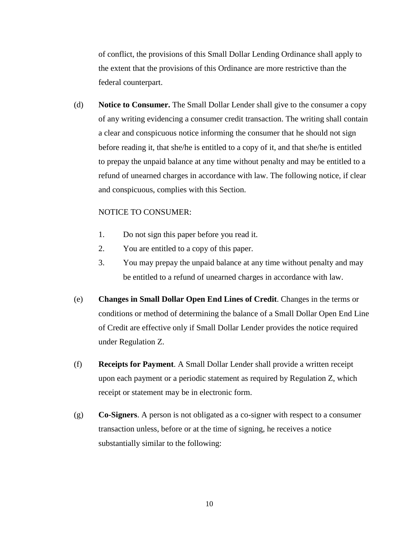of conflict, the provisions of this Small Dollar Lending Ordinance shall apply to the extent that the provisions of this Ordinance are more restrictive than the federal counterpart.

(d) **Notice to Consumer.** The Small Dollar Lender shall give to the consumer a copy of any writing evidencing a consumer credit transaction. The writing shall contain a clear and conspicuous notice informing the consumer that he should not sign before reading it, that she/he is entitled to a copy of it, and that she/he is entitled to prepay the unpaid balance at any time without penalty and may be entitled to a refund of unearned charges in accordance with law. The following notice, if clear and conspicuous, complies with this Section.

# NOTICE TO CONSUMER:

- 1. Do not sign this paper before you read it.
- 2. You are entitled to a copy of this paper.
- 3. You may prepay the unpaid balance at any time without penalty and may be entitled to a refund of unearned charges in accordance with law.
- (e) **Changes in Small Dollar Open End Lines of Credit**. Changes in the terms or conditions or method of determining the balance of a Small Dollar Open End Line of Credit are effective only if Small Dollar Lender provides the notice required under Regulation Z.
- (f) **Receipts for Payment**. A Small Dollar Lender shall provide a written receipt upon each payment or a periodic statement as required by Regulation Z, which receipt or statement may be in electronic form.
- (g) **Co-Signers**. A person is not obligated as a co-signer with respect to a consumer transaction unless, before or at the time of signing, he receives a notice substantially similar to the following: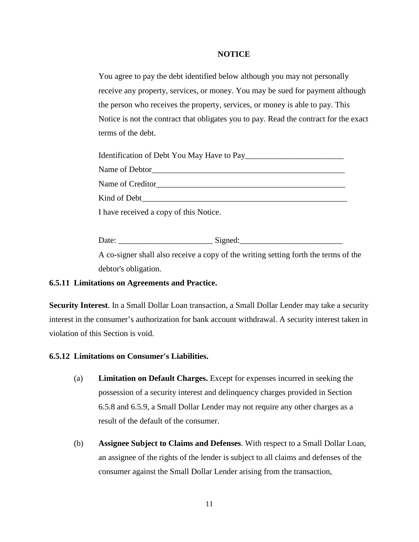# **NOTICE**

You agree to pay the debt identified below although you may not personally receive any property, services, or money. You may be sued for payment although the person who receives the property, services, or money is able to pay. This Notice is not the contract that obligates you to pay. Read the contract for the exact terms of the debt.

| Kind of Debt <b>Exercise 2018</b>      |
|----------------------------------------|
| I have received a copy of this Notice. |

Date: \_\_\_\_\_\_\_\_\_\_\_\_\_\_\_\_\_\_\_\_\_\_\_ Signed:\_\_\_\_\_\_\_\_\_\_\_\_\_\_\_\_\_\_\_\_\_\_\_\_\_ A co-signer shall also receive a copy of the writing setting forth the terms of the debtor's obligation.

# **6.5.11 Limitations on Agreements and Practice.**

**Security Interest**. In a Small Dollar Loan transaction, a Small Dollar Lender may take a security interest in the consumer's authorization for bank account withdrawal. A security interest taken in violation of this Section is void.

# **6.5.12 Limitations on Consumer's Liabilities.**

- (a) **Limitation on Default Charges.** Except for expenses incurred in seeking the possession of a security interest and delinquency charges provided in Section 6.5.8 and 6.5.9, a Small Dollar Lender may not require any other charges as a result of the default of the consumer.
- (b) **Assignee Subject to Claims and Defenses**. With respect to a Small Dollar Loan, an assignee of the rights of the lender is subject to all claims and defenses of the consumer against the Small Dollar Lender arising from the transaction,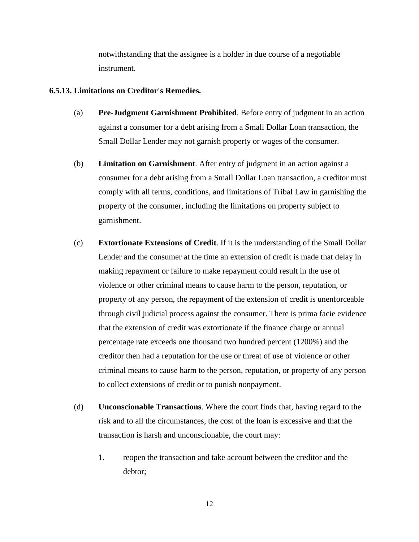notwithstanding that the assignee is a holder in due course of a negotiable instrument.

# **6.5.13. Limitations on Creditor's Remedies.**

- (a) **Pre-Judgment Garnishment Prohibited**. Before entry of judgment in an action against a consumer for a debt arising from a Small Dollar Loan transaction, the Small Dollar Lender may not garnish property or wages of the consumer.
- (b) **Limitation on Garnishment**. After entry of judgment in an action against a consumer for a debt arising from a Small Dollar Loan transaction, a creditor must comply with all terms, conditions, and limitations of Tribal Law in garnishing the property of the consumer, including the limitations on property subject to garnishment.
- (c) **Extortionate Extensions of Credit**. If it is the understanding of the Small Dollar Lender and the consumer at the time an extension of credit is made that delay in making repayment or failure to make repayment could result in the use of violence or other criminal means to cause harm to the person, reputation, or property of any person, the repayment of the extension of credit is unenforceable through civil judicial process against the consumer. There is prima facie evidence that the extension of credit was extortionate if the finance charge or annual percentage rate exceeds one thousand two hundred percent (1200%) and the creditor then had a reputation for the use or threat of use of violence or other criminal means to cause harm to the person, reputation, or property of any person to collect extensions of credit or to punish nonpayment.
- (d) **Unconscionable Transactions**. Where the court finds that, having regard to the risk and to all the circumstances, the cost of the loan is excessive and that the transaction is harsh and unconscionable, the court may:
	- 1. reopen the transaction and take account between the creditor and the debtor;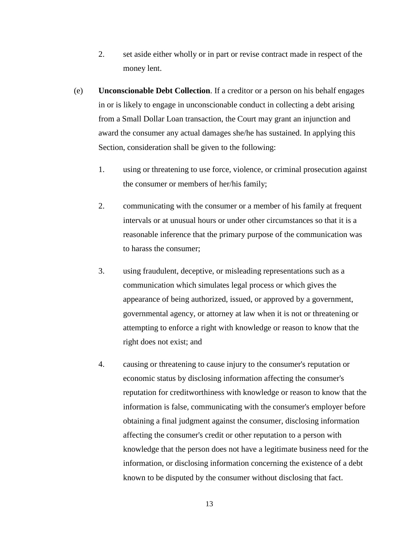- 2. set aside either wholly or in part or revise contract made in respect of the money lent.
- (e) **Unconscionable Debt Collection**. If a creditor or a person on his behalf engages in or is likely to engage in unconscionable conduct in collecting a debt arising from a Small Dollar Loan transaction, the Court may grant an injunction and award the consumer any actual damages she/he has sustained. In applying this Section, consideration shall be given to the following:
	- 1. using or threatening to use force, violence, or criminal prosecution against the consumer or members of her/his family;
	- 2. communicating with the consumer or a member of his family at frequent intervals or at unusual hours or under other circumstances so that it is a reasonable inference that the primary purpose of the communication was to harass the consumer;
	- 3. using fraudulent, deceptive, or misleading representations such as a communication which simulates legal process or which gives the appearance of being authorized, issued, or approved by a government, governmental agency, or attorney at law when it is not or threatening or attempting to enforce a right with knowledge or reason to know that the right does not exist; and
	- 4. causing or threatening to cause injury to the consumer's reputation or economic status by disclosing information affecting the consumer's reputation for creditworthiness with knowledge or reason to know that the information is false, communicating with the consumer's employer before obtaining a final judgment against the consumer, disclosing information affecting the consumer's credit or other reputation to a person with knowledge that the person does not have a legitimate business need for the information, or disclosing information concerning the existence of a debt known to be disputed by the consumer without disclosing that fact.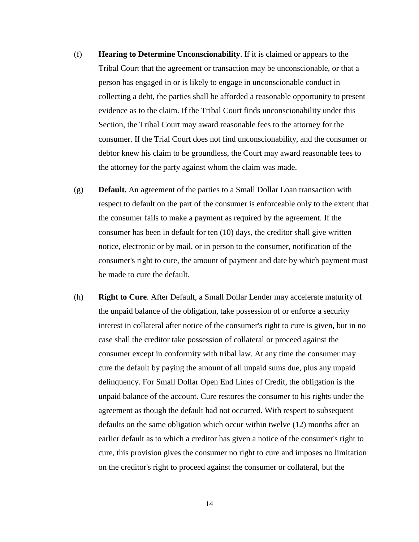- (f) **Hearing to Determine Unconscionability**. If it is claimed or appears to the Tribal Court that the agreement or transaction may be unconscionable, or that a person has engaged in or is likely to engage in unconscionable conduct in collecting a debt, the parties shall be afforded a reasonable opportunity to present evidence as to the claim. If the Tribal Court finds unconscionability under this Section, the Tribal Court may award reasonable fees to the attorney for the consumer. If the Trial Court does not find unconscionability, and the consumer or debtor knew his claim to be groundless, the Court may award reasonable fees to the attorney for the party against whom the claim was made.
- (g) **Default.** An agreement of the parties to a Small Dollar Loan transaction with respect to default on the part of the consumer is enforceable only to the extent that the consumer fails to make a payment as required by the agreement. If the consumer has been in default for ten (10) days, the creditor shall give written notice, electronic or by mail, or in person to the consumer, notification of the consumer's right to cure, the amount of payment and date by which payment must be made to cure the default.
- (h) **Right to Cure**. After Default, a Small Dollar Lender may accelerate maturity of the unpaid balance of the obligation, take possession of or enforce a security interest in collateral after notice of the consumer's right to cure is given, but in no case shall the creditor take possession of collateral or proceed against the consumer except in conformity with tribal law. At any time the consumer may cure the default by paying the amount of all unpaid sums due, plus any unpaid delinquency. For Small Dollar Open End Lines of Credit, the obligation is the unpaid balance of the account. Cure restores the consumer to his rights under the agreement as though the default had not occurred. With respect to subsequent defaults on the same obligation which occur within twelve (12) months after an earlier default as to which a creditor has given a notice of the consumer's right to cure, this provision gives the consumer no right to cure and imposes no limitation on the creditor's right to proceed against the consumer or collateral, but the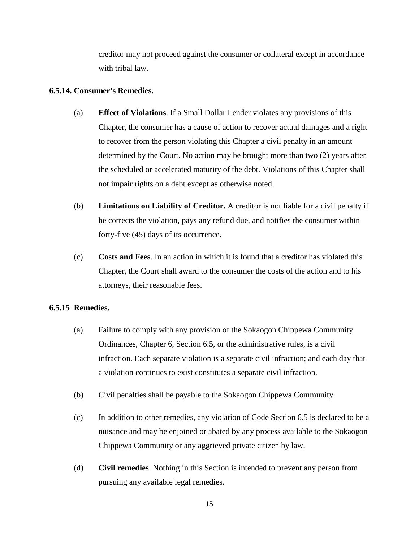creditor may not proceed against the consumer or collateral except in accordance with tribal law.

# **6.5.14. Consumer's Remedies.**

- (a) **Effect of Violations**. If a Small Dollar Lender violates any provisions of this Chapter, the consumer has a cause of action to recover actual damages and a right to recover from the person violating this Chapter a civil penalty in an amount determined by the Court. No action may be brought more than two (2) years after the scheduled or accelerated maturity of the debt. Violations of this Chapter shall not impair rights on a debt except as otherwise noted.
- (b) **Limitations on Liability of Creditor.** A creditor is not liable for a civil penalty if he corrects the violation, pays any refund due, and notifies the consumer within forty-five (45) days of its occurrence.
- (c) **Costs and Fees**. In an action in which it is found that a creditor has violated this Chapter, the Court shall award to the consumer the costs of the action and to his attorneys, their reasonable fees.

## **6.5.15 Remedies.**

- (a) Failure to comply with any provision of the Sokaogon Chippewa Community Ordinances, Chapter 6, Section 6.5, or the administrative rules, is a civil infraction. Each separate violation is a separate civil infraction; and each day that a violation continues to exist constitutes a separate civil infraction.
- (b) Civil penalties shall be payable to the Sokaogon Chippewa Community.
- (c) In addition to other remedies, any violation of Code Section 6.5 is declared to be a nuisance and may be enjoined or abated by any process available to the Sokaogon Chippewa Community or any aggrieved private citizen by law.
- (d) **Civil remedies**. Nothing in this Section is intended to prevent any person from pursuing any available legal remedies.